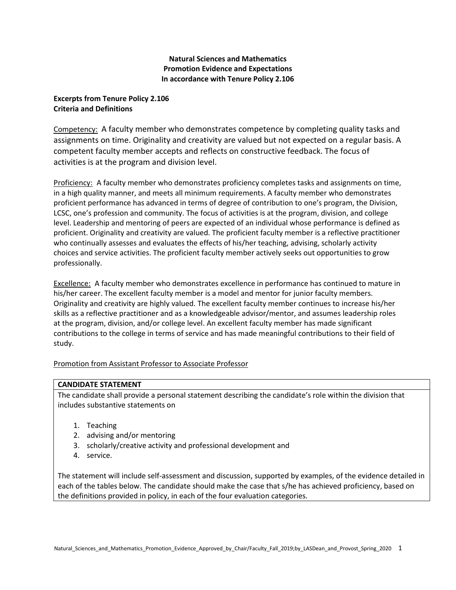## **Natural Sciences and Mathematics Promotion Evidence and Expectations In accordance with Tenure Policy 2.106**

### **Excerpts from Tenure Policy 2.106 Criteria and Definitions**

Competency: A faculty member who demonstrates competence by completing quality tasks and assignments on time. Originality and creativity are valued but not expected on a regular basis. A competent faculty member accepts and reflects on constructive feedback. The focus of activities is at the program and division level.

Proficiency: A faculty member who demonstrates proficiency completes tasks and assignments on time, in a high quality manner, and meets all minimum requirements. A faculty member who demonstrates proficient performance has advanced in terms of degree of contribution to one's program, the Division, LCSC, one's profession and community. The focus of activities is at the program, division, and college level. Leadership and mentoring of peers are expected of an individual whose performance is defined as proficient. Originality and creativity are valued. The proficient faculty member is a reflective practitioner who continually assesses and evaluates the effects of his/her teaching, advising, scholarly activity choices and service activities. The proficient faculty member actively seeks out opportunities to grow professionally.

Excellence: A faculty member who demonstrates excellence in performance has continued to mature in his/her career. The excellent faculty member is a model and mentor for junior faculty members. Originality and creativity are highly valued. The excellent faculty member continues to increase his/her skills as a reflective practitioner and as a knowledgeable advisor/mentor, and assumes leadership roles at the program, division, and/or college level. An excellent faculty member has made significant contributions to the college in terms of service and has made meaningful contributions to their field of study.

### Promotion from Assistant Professor to Associate Professor

### **CANDIDATE STATEMENT**

The candidate shall provide a personal statement describing the candidate's role within the division that includes substantive statements on

- 1. Teaching
- 2. advising and/or mentoring
- 3. scholarly/creative activity and professional development and
- 4. service.

The statement will include self-assessment and discussion, supported by examples, of the evidence detailed in each of the tables below. The candidate should make the case that s/he has achieved proficiency, based on the definitions provided in policy, in each of the four evaluation categories.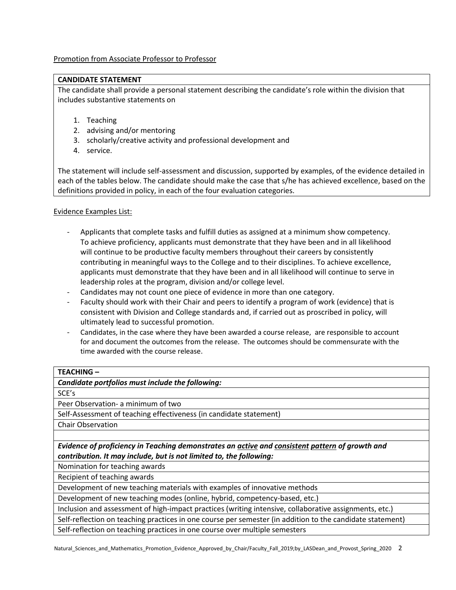Promotion from Associate Professor to Professor

#### **CANDIDATE STATEMENT**

The candidate shall provide a personal statement describing the candidate's role within the division that includes substantive statements on

- 1. Teaching
- 2. advising and/or mentoring
- 3. scholarly/creative activity and professional development and
- 4. service.

The statement will include self-assessment and discussion, supported by examples, of the evidence detailed in each of the tables below. The candidate should make the case that s/he has achieved excellence, based on the definitions provided in policy, in each of the four evaluation categories.

### Evidence Examples List:

- Applicants that complete tasks and fulfill duties as assigned at a minimum show competency. To achieve proficiency, applicants must demonstrate that they have been and in all likelihood will continue to be productive faculty members throughout their careers by consistently contributing in meaningful ways to the College and to their disciplines. To achieve excellence, applicants must demonstrate that they have been and in all likelihood will continue to serve in leadership roles at the program, division and/or college level.
- Candidates may not count one piece of evidence in more than one category.
- Faculty should work with their Chair and peers to identify a program of work (evidence) that is consistent with Division and College standards and, if carried out as proscribed in policy, will ultimately lead to successful promotion.
- Candidates, in the case where they have been awarded a course release, are responsible to account for and document the outcomes from the release. The outcomes should be commensurate with the time awarded with the course release.

### **TEACHING –**

*Candidate portfolios must include the following:*

SCE's

Peer Observation- a minimum of two

Self-Assessment of teaching effectiveness (in candidate statement)

Chair Observation

*Evidence of proficiency in Teaching demonstrates an active and consistent pattern of growth and contribution. It may include, but is not limited to, the following:*

Nomination for teaching awards

Recipient of teaching awards

Development of new teaching materials with examples of innovative methods

Development of new teaching modes (online, hybrid, competency-based, etc.)

Inclusion and assessment of high-impact practices (writing intensive, collaborative assignments, etc.)

Self-reflection on teaching practices in one course per semester (in addition to the candidate statement)

Self-reflection on teaching practices in one course over multiple semesters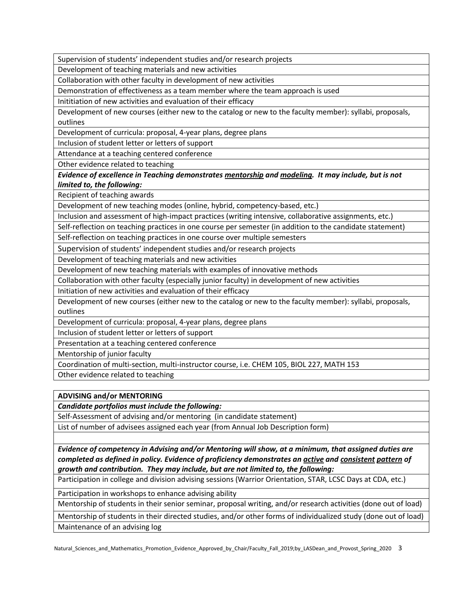Supervision of students' independent studies and/or research projects

Development of teaching materials and new activities

Collaboration with other faculty in development of new activities

Demonstration of effectiveness as a team member where the team approach is used

Inititiation of new activities and evaluation of their efficacy

Development of new courses (either new to the catalog or new to the faculty member): syllabi, proposals, outlines

Development of curricula: proposal, 4-year plans, degree plans

Inclusion of student letter or letters of support

Attendance at a teaching centered conference

Other evidence related to teaching

*Evidence of excellence in Teaching demonstrates mentorship and modeling. It may include, but is not limited to, the following:*

Recipient of teaching awards

Development of new teaching modes (online, hybrid, competency-based, etc.)

Inclusion and assessment of high-impact practices (writing intensive, collaborative assignments, etc.)

Self-reflection on teaching practices in one course per semester (in addition to the candidate statement)

Self-reflection on teaching practices in one course over multiple semesters

Supervision of students' independent studies and/or research projects

Development of teaching materials and new activities

Development of new teaching materials with examples of innovative methods

Collaboration with other faculty (especially junior faculty) in development of new activities

Initiation of new activities and evaluation of their efficacy

Development of new courses (either new to the catalog or new to the faculty member): syllabi, proposals, outlines

Development of curricula: proposal, 4-year plans, degree plans

Inclusion of student letter or letters of support

Presentation at a teaching centered conference

Mentorship of junior faculty

Coordination of multi-section, multi-instructor course, i.e. CHEM 105, BIOL 227, MATH 153

Other evidence related to teaching

### **ADVISING and/or MENTORING**

*Candidate portfolios must include the following:*

Self-Assessment of advising and/or mentoring (in candidate statement)

List of number of advisees assigned each year (from Annual Job Description form)

*Evidence of competency in Advising and/or Mentoring will show, at a minimum, that assigned duties are completed as defined in policy. Evidence of proficiency demonstrates an active and consistent pattern of growth and contribution. They may include, but are not limited to, the following:*

Participation in college and division advising sessions (Warrior Orientation, STAR, LCSC Days at CDA, etc.)

Participation in workshops to enhance advising ability

Mentorship of students in their senior seminar, proposal writing, and/or research activities (done out of load)

Mentorship of students in their directed studies, and/or other forms of individualized study (done out of load) Maintenance of an advising log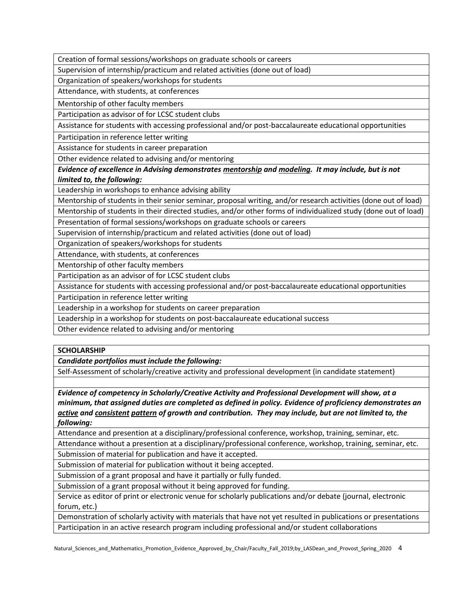Creation of formal sessions/workshops on graduate schools or careers

Supervision of internship/practicum and related activities (done out of load)

Organization of speakers/workshops for students

Attendance, with students, at conferences

Mentorship of other faculty members

Participation as advisor of for LCSC student clubs

Assistance for students with accessing professional and/or post-baccalaureate educational opportunities

Participation in reference letter writing

Assistance for students in career preparation

Other evidence related to advising and/or mentoring

*Evidence of excellence in Advising demonstrates mentorship and modeling. It may include, but is not limited to, the following:*

Leadership in workshops to enhance advising ability

Mentorship of students in their senior seminar, proposal writing, and/or research activities (done out of load) Mentorship of students in their directed studies, and/or other forms of individualized study (done out of load)

Presentation of formal sessions/workshops on graduate schools or careers

Supervision of internship/practicum and related activities (done out of load)

Organization of speakers/workshops for students

Attendance, with students, at conferences

Mentorship of other faculty members

Participation as an advisor of for LCSC student clubs

Assistance for students with accessing professional and/or post-baccalaureate educational opportunities

Participation in reference letter writing

Leadership in a workshop for students on career preparation

Leadership in a workshop for students on post-baccalaureate educational success

Other evidence related to advising and/or mentoring

### **SCHOLARSHIP**

*Candidate portfolios must include the following:*

Self-Assessment of scholarly/creative activity and professional development (in candidate statement)

*Evidence of competency in Scholarly/Creative Activity and Professional Development will show, at a minimum, that assigned duties are completed as defined in policy. Evidence of proficiency demonstrates an active and consistent pattern of growth and contribution. They may include, but are not limited to, the following:*

Attendance and presention at a disciplinary/professional conference, workshop, training, seminar, etc.

Attendance without a presention at a disciplinary/professional conference, workshop, training, seminar, etc. Submission of material for publication and have it accepted.

Submission of material for publication without it being accepted.

Submission of a grant proposal and have it partially or fully funded.

Submission of a grant proposal without it being approved for funding.

Service as editor of print or electronic venue for scholarly publications and/or debate (journal, electronic forum, etc.)

Demonstration of scholarly activity with materials that have not yet resulted in publications or presentations Participation in an active research program including professional and/or student collaborations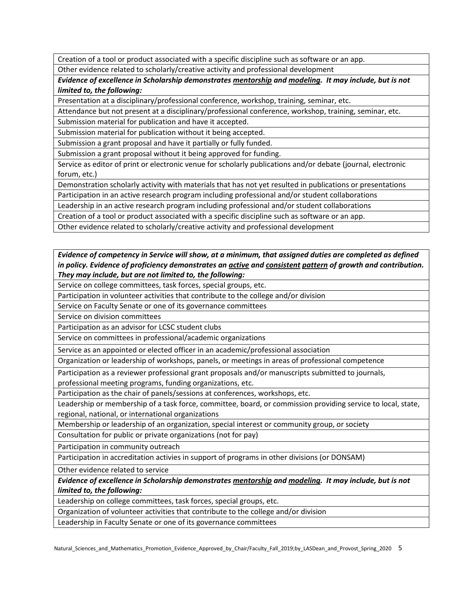Creation of a tool or product associated with a specific discipline such as software or an app. Other evidence related to scholarly/creative activity and professional development

*Evidence of excellence in Scholarship demonstrates mentorship and modeling. It may include, but is not limited to, the following:*

Presentation at a disciplinary/professional conference, workshop, training, seminar, etc.

Attendance but not present at a disciplinary/professional conference, workshop, training, seminar, etc.

Submission material for publication and have it accepted.

Submission material for publication without it being accepted.

Submission a grant proposal and have it partially or fully funded.

Submission a grant proposal without it being approved for funding.

Service as editor of print or electronic venue for scholarly publications and/or debate (journal, electronic forum, etc.)

Demonstration scholarly activity with materials that has not yet resulted in publications or presentations

Participation in an active research program including professional and/or student collaborations

Leadership in an active research program including professional and/or student collaborations

Creation of a tool or product associated with a specific discipline such as software or an app.

Other evidence related to scholarly/creative activity and professional development

# *Evidence of competency in Service will show, at a minimum, that assigned duties are completed as defined in policy. Evidence of proficiency demonstrates an active and consistent pattern of growth and contribution. They may include, but are not limited to, the following:*

Service on college committees, task forces, special groups, etc.

Participation in volunteer activities that contribute to the college and/or division

Service on Faculty Senate or one of its governance committees

Service on division committees

Participation as an advisor for LCSC student clubs

Service on committees in professional/academic organizations

Service as an appointed or elected officer in an academic/professional association

Organization or leadership of workshops, panels, or meetings in areas of professional competence

Participation as a reviewer professional grant proposals and/or manuscripts submitted to journals, professional meeting programs, funding organizations, etc.

Participation as the chair of panels/sessions at conferences, workshops, etc.

Leadership or membership of a task force, committee, board, or commission providing service to local, state, regional, national, or international organizations

Membership or leadership of an organization, special interest or community group, or society

Consultation for public or private organizations (not for pay)

Participation in community outreach

Participation in accreditation activies in support of programs in other divisions (or DONSAM)

Other evidence related to service

*Evidence of excellence in Scholarship demonstrates mentorship and modeling. It may include, but is not limited to, the following:*

Leadership on college committees, task forces, special groups, etc.

Organization of volunteer activities that contribute to the college and/or division

Leadership in Faculty Senate or one of its governance committees